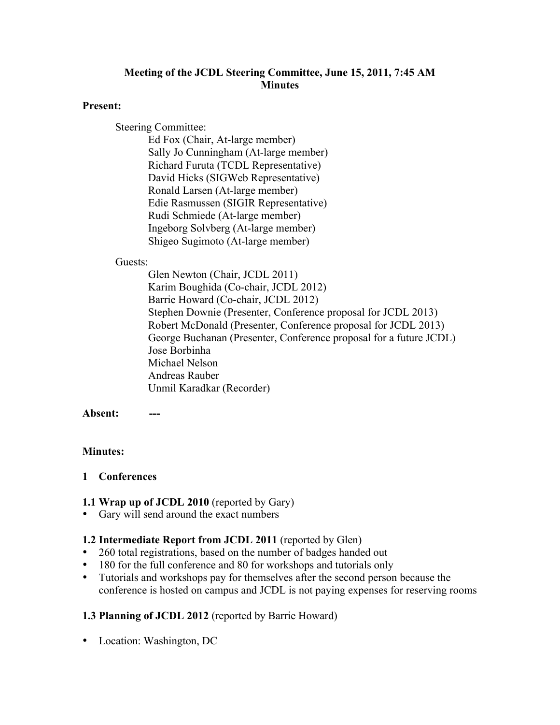## **Meeting of the JCDL Steering Committee, June 15, 2011, 7:45 AM Minutes**

#### **Present:**

Steering Committee:

Ed Fox (Chair, At-large member) Sally Jo Cunningham (At-large member) Richard Furuta (TCDL Representative) David Hicks (SIGWeb Representative) Ronald Larsen (At-large member) Edie Rasmussen (SIGIR Representative) Rudi Schmiede (At-large member) Ingeborg Solvberg (At-large member) Shigeo Sugimoto (At-large member)

#### Guests:

Glen Newton (Chair, JCDL 2011) Karim Boughida (Co-chair, JCDL 2012) Barrie Howard (Co-chair, JCDL 2012) Stephen Downie (Presenter, Conference proposal for JCDL 2013) Robert McDonald (Presenter, Conference proposal for JCDL 2013) George Buchanan (Presenter, Conference proposal for a future JCDL) Jose Borbinha Michael Nelson Andreas Rauber Unmil Karadkar (Recorder)

Absent:

## **Minutes:**

## **1 Conferences**

## **1.1 Wrap up of JCDL 2010** (reported by Gary)

• Gary will send around the exact numbers

## **1.2 Intermediate Report from JCDL 2011** (reported by Glen)

- 260 total registrations, based on the number of badges handed out
- 180 for the full conference and 80 for workshops and tutorials only
- Tutorials and workshops pay for themselves after the second person because the conference is hosted on campus and JCDL is not paying expenses for reserving rooms

# **1.3 Planning of JCDL 2012** (reported by Barrie Howard)

• Location: Washington, DC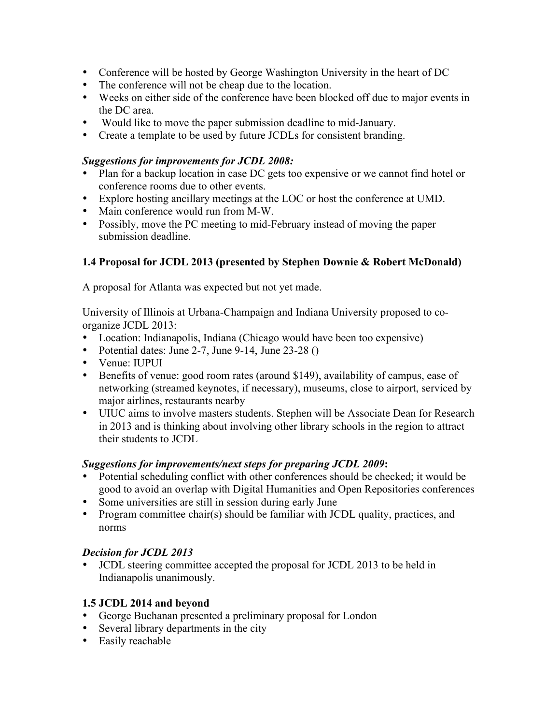- Conference will be hosted by George Washington University in the heart of DC
- The conference will not be cheap due to the location.
- Weeks on either side of the conference have been blocked off due to major events in the DC area.
- Would like to move the paper submission deadline to mid-January.
- Create a template to be used by future JCDLs for consistent branding.

## *Suggestions for improvements for JCDL 2008:*

- Plan for a backup location in case DC gets too expensive or we cannot find hotel or conference rooms due to other events.
- Explore hosting ancillary meetings at the LOC or host the conference at UMD.
- Main conference would run from M-W.
- Possibly, move the PC meeting to mid-February instead of moving the paper submission deadline.

## **1.4 Proposal for JCDL 2013 (presented by Stephen Downie & Robert McDonald)**

A proposal for Atlanta was expected but not yet made.

University of Illinois at Urbana-Champaign and Indiana University proposed to coorganize JCDL 2013:

- Location: Indianapolis, Indiana (Chicago would have been too expensive)
- Potential dates: June 2-7, June 9-14, June 23-28 ()
- Venue: IUPUI
- Benefits of venue: good room rates (around \$149), availability of campus, ease of networking (streamed keynotes, if necessary), museums, close to airport, serviced by major airlines, restaurants nearby
- UIUC aims to involve masters students. Stephen will be Associate Dean for Research in 2013 and is thinking about involving other library schools in the region to attract their students to JCDL

## *Suggestions for improvements/next steps for preparing JCDL 2009***:**

- Potential scheduling conflict with other conferences should be checked; it would be good to avoid an overlap with Digital Humanities and Open Repositories conferences
- Some universities are still in session during early June
- Program committee chair(s) should be familiar with JCDL quality, practices, and norms

## *Decision for JCDL 2013*

• JCDL steering committee accepted the proposal for JCDL 2013 to be held in Indianapolis unanimously.

## **1.5 JCDL 2014 and beyond**

- George Buchanan presented a preliminary proposal for London
- Several library departments in the city
- Easily reachable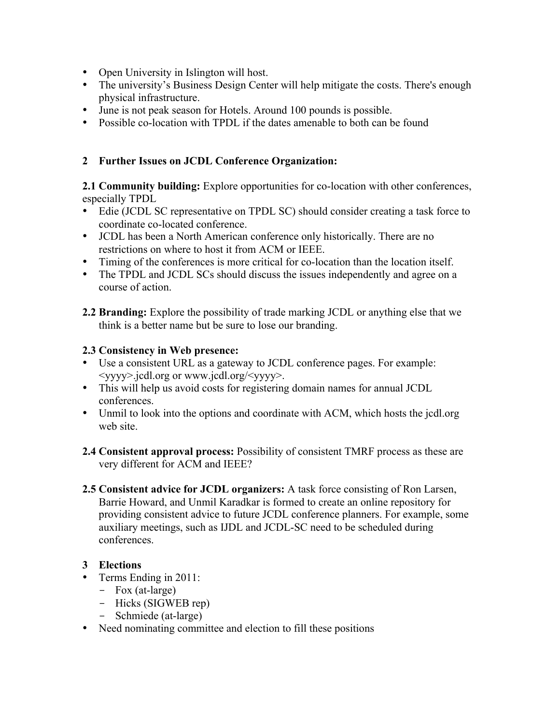- Open University in Islington will host.
- The university's Business Design Center will help mitigate the costs. There's enough physical infrastructure.
- June is not peak season for Hotels. Around 100 pounds is possible.
- Possible co-location with TPDL if the dates amenable to both can be found

## **2 Further Issues on JCDL Conference Organization:**

**2.1 Community building:** Explore opportunities for co-location with other conferences, especially TPDL

- Edie (JCDL SC representative on TPDL SC) should consider creating a task force to coordinate co-located conference.
- JCDL has been a North American conference only historically. There are no restrictions on where to host it from ACM or IEEE.
- Timing of the conferences is more critical for co-location than the location itself.
- The TPDL and JCDL SCs should discuss the issues independently and agree on a course of action.
- **2.2 Branding:** Explore the possibility of trade marking JCDL or anything else that we think is a better name but be sure to lose our branding.

## **2.3 Consistency in Web presence:**

- Use a consistent URL as a gateway to JCDL conference pages. For example: <yyyy>.jcdl.org or www.jcdl.org/<yyyy>.
- This will help us avoid costs for registering domain names for annual JCDL conferences.
- Unmil to look into the options and coordinate with ACM, which hosts the jcdl.org web site.
- **2.4 Consistent approval process:** Possibility of consistent TMRF process as these are very different for ACM and IEEE?
- **2.5 Consistent advice for JCDL organizers:** A task force consisting of Ron Larsen, Barrie Howard, and Unmil Karadkar is formed to create an online repository for providing consistent advice to future JCDL conference planners. For example, some auxiliary meetings, such as IJDL and JCDL-SC need to be scheduled during conferences.

# **3 Elections**

- Terms Ending in 2011:
	- Fox (at-large)
	- Hicks (SIGWEB rep)
	- Schmiede (at-large)
- Need nominating committee and election to fill these positions